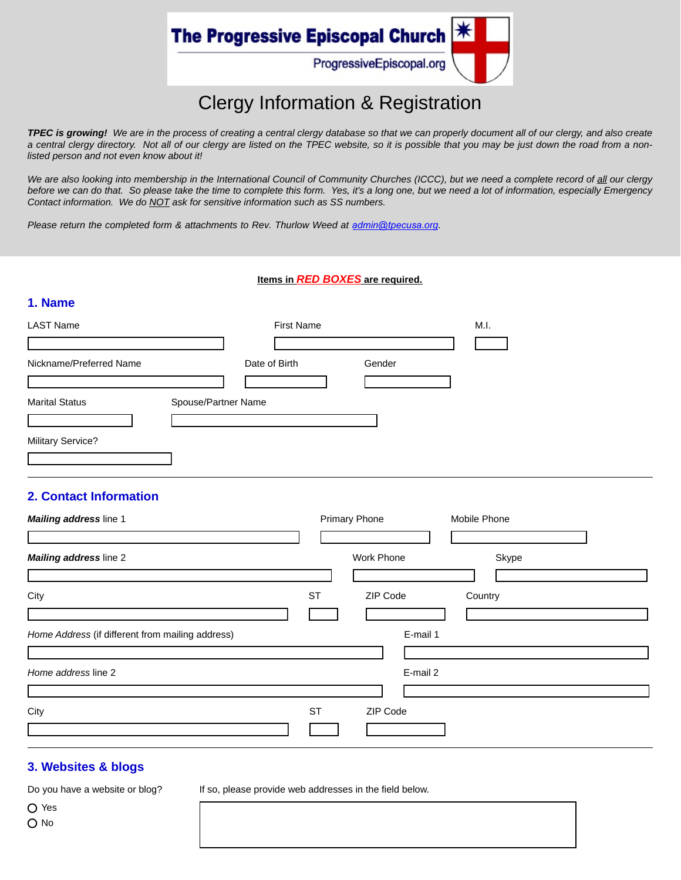

# Clergy Information & Registration

*TPEC is growing! We are in the process of creating a central clergy database so that we can properly document all of our clergy, and also create a central clergy directory. Not all of our clergy are listed on the TPEC website, so it is possible that you may be just down the road from a nonlisted person and not even know about it!* 

*We are also looking into membership in the International Council of Community Churches (ICCC), but we need a complete record of all our clergy before we can do that. So please take the time to complete this form. Yes, it's a long one, but we need a lot of information, especially Emergency Contact information. We do NOT ask for sensitive information such as SS numbers.* 

*Please return the completed form & attachments to Rev. Thurlow Weed at <i>[admin@tpecusa.](mailto:admin@tpecusa.org)org.* 

#### **Items in** *RED BOXES* **are required.**

| <b>LAST Name</b>                              |                     | <b>First Name</b> |        | M.I. |  |
|-----------------------------------------------|---------------------|-------------------|--------|------|--|
| Nickname/Preferred Name                       |                     | Date of Birth     | Gender |      |  |
|                                               |                     |                   |        |      |  |
| <b>Marital Status</b><br>$\blacktriangledown$ | Spouse/Partner Name |                   |        |      |  |
| <b>Military Service?</b>                      |                     |                   |        |      |  |
|                                               |                     |                   |        |      |  |

### **2. Contact Information**

**1. Name**

| Mailing address line 1                           |           | <b>Primary Phone</b> |          | Mobile Phone |  |
|--------------------------------------------------|-----------|----------------------|----------|--------------|--|
|                                                  |           |                      |          |              |  |
| Mailing address line 2                           |           | Work Phone           |          | Skype        |  |
|                                                  |           |                      |          |              |  |
| City                                             | <b>ST</b> | ZIP Code             |          | Country      |  |
|                                                  |           |                      |          |              |  |
| Home Address (if different from mailing address) |           |                      | E-mail 1 |              |  |
|                                                  |           |                      |          |              |  |
| Home address line 2                              |           |                      | E-mail 2 |              |  |
|                                                  |           |                      |          |              |  |
| City                                             | <b>ST</b> | ZIP Code             |          |              |  |
|                                                  |           |                      |          |              |  |

#### **3. Websites & blogs**

Do you have a website or blog?

If so, please provide web addresses in the field below.

Yes O No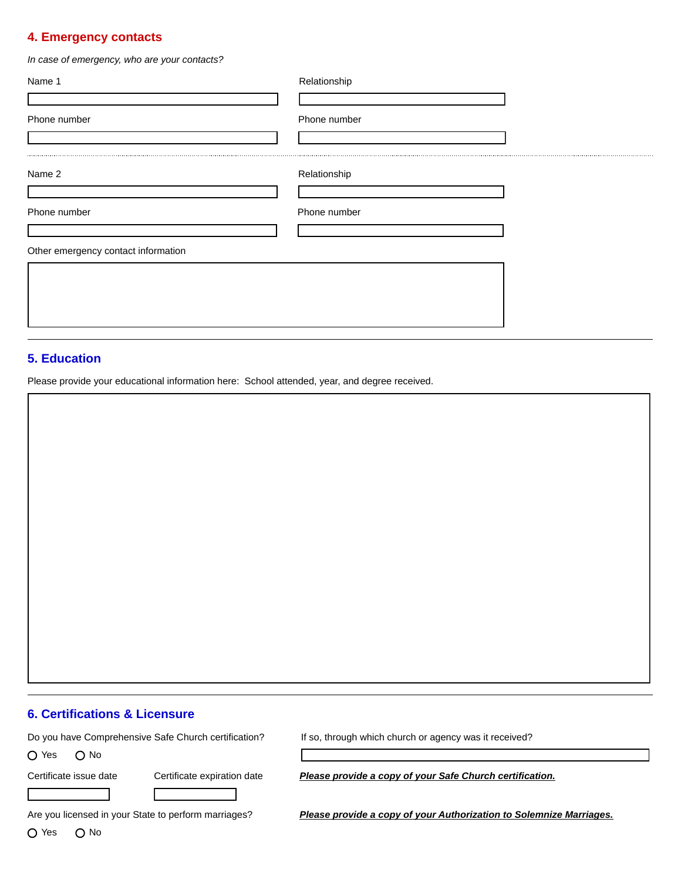#### **4. Emergency contacts**

*In case of emergency, who are your contacts?*

| Name 1                              | Relationship |  |
|-------------------------------------|--------------|--|
| Phone number                        | Phone number |  |
| Name 2                              | Relationship |  |
| Phone number                        | Phone number |  |
| Other emergency contact information |              |  |
|                                     |              |  |
|                                     |              |  |

#### **5. Education**

Please provide your educational information here: School attended, year, and degree received.

#### **6. Certifications & Licensure**

Do you have Comprehensive Safe Church certification?

O Yes O No

If so, through which church or agency was it received?

Certificate issue date Certificate expiration date *Please provide a copy of your Safe Church certification.*

Are you licensed in your State to perform marriages?

O Yes O No

*Please provide a copy of your Authorization to Solemnize Marriages.*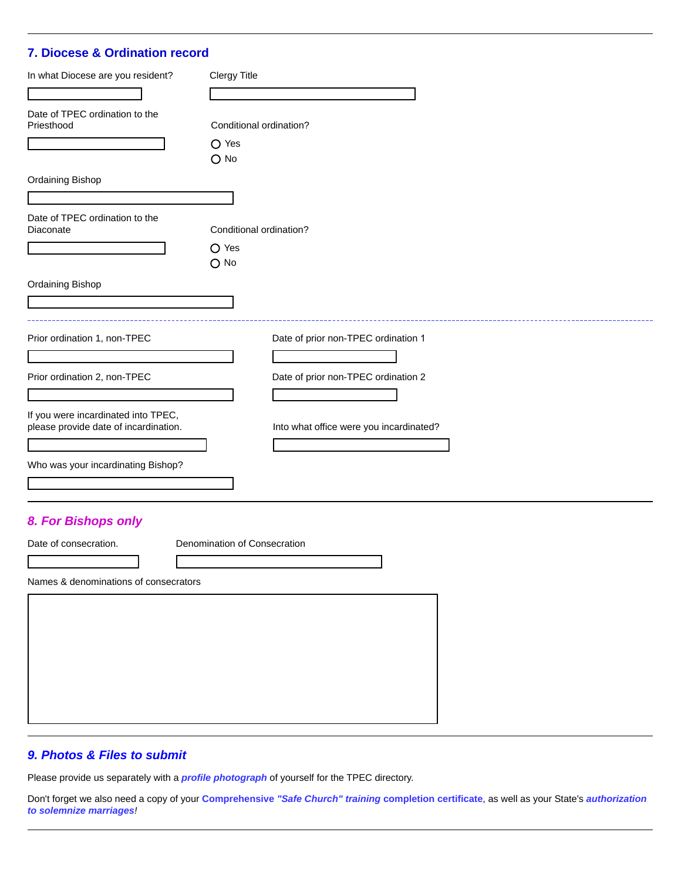# **7. Diocese & Ordination record**

| In what Diocese are you resident?                                            | <b>Clergy Title</b>                                             |  |  |
|------------------------------------------------------------------------------|-----------------------------------------------------------------|--|--|
| $\overline{\mathbf{v}}$                                                      | $\vert \vert$                                                   |  |  |
| Date of TPEC ordination to the<br>Priesthood                                 | Conditional ordination?<br>$O$ Yes                              |  |  |
|                                                                              | $O$ No                                                          |  |  |
| Ordaining Bishop                                                             |                                                                 |  |  |
| Date of TPEC ordination to the<br>Diaconate                                  | Conditional ordination?                                         |  |  |
|                                                                              | $O$ Yes<br>$O$ No                                               |  |  |
| Ordaining Bishop                                                             |                                                                 |  |  |
|                                                                              |                                                                 |  |  |
| Prior ordination 1, non-TPEC                                                 | Date of prior non-TPEC ordination 1                             |  |  |
|                                                                              | $\blacktriangledown$                                            |  |  |
| Prior ordination 2, non-TPEC                                                 | Date of prior non-TPEC ordination 2<br>$\mathbf{r}$             |  |  |
| If you were incardinated into TPEC,<br>please provide date of incardination. | Into what office were you incardinated?<br>$\blacktriangledown$ |  |  |
| Who was your incardinating Bishop?                                           |                                                                 |  |  |

# *8. For Bishops only*

Date of consecration. Denomination of Consecration

Names & denominations of consecrators

# *9. Photos & Files to submit*

Please provide us separately with a *profile photograph* of yourself for the TPEC directory.

Don't forget we also need a copy of your **Comprehensive** *"Safe Church" training* **completion certificate**, as well as your State's *authorization to solemnize marriages!*